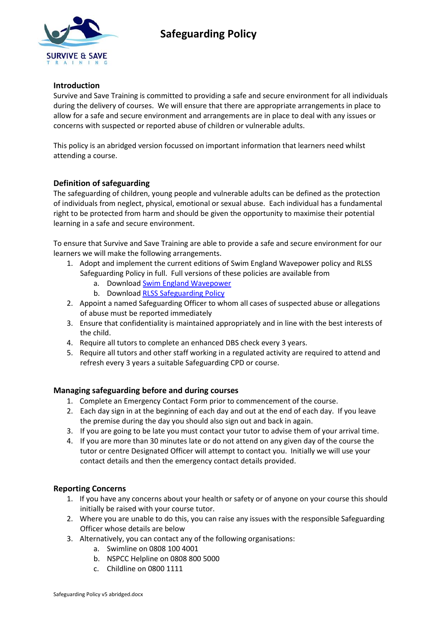

# **Safeguarding Policy**

### **Introduction**

Survive and Save Training is committed to providing a safe and secure environment for all individuals during the delivery of courses. We will ensure that there are appropriate arrangements in place to allow for a safe and secure environment and arrangements are in place to deal with any issues or concerns with suspected or reported abuse of children or vulnerable adults.

This policy is an abridged version focussed on important information that learners need whilst attending a course.

### **Definition of safeguarding**

The safeguarding of children, young people and vulnerable adults can be defined as the protection of individuals from neglect, physical, emotional or sexual abuse. Each individual has a fundamental right to be protected from harm and should be given the opportunity to maximise their potential learning in a safe and secure environment.

To ensure that Survive and Save Training are able to provide a safe and secure environment for our learners we will make the following arrangements.

- 1. Adopt and implement the current editions of Swim England Wavepower policy and RLSS Safeguarding Policy in full. Full versions of these policies are available from
	- a. Download [Swim England Wavepower](http://www.swimming.org/swimengland/wavepower-child-safeguarding-for-clubs/)
	- b. Download [RLSS Safeguarding Policy](https://www.rlssdirect.co.uk/policies-and-marketing/)
- 2. Appoint a named Safeguarding Officer to whom all cases of suspected abuse or allegations of abuse must be reported immediately
- 3. Ensure that confidentiality is maintained appropriately and in line with the best interests of the child.
- 4. Require all tutors to complete an enhanced DBS check every 3 years.
- 5. Require all tutors and other staff working in a regulated activity are required to attend and refresh every 3 years a suitable Safeguarding CPD or course.

#### **Managing safeguarding before and during courses**

- 1. Complete an Emergency Contact Form prior to commencement of the course.
- 2. Each day sign in at the beginning of each day and out at the end of each day. If you leave the premise during the day you should also sign out and back in again.
- 3. If you are going to be late you must contact your tutor to advise them of your arrival time.
- 4. If you are more than 30 minutes late or do not attend on any given day of the course the tutor or centre Designated Officer will attempt to contact you. Initially we will use your contact details and then the emergency contact details provided.

## **Reporting Concerns**

- 1. If you have any concerns about your health or safety or of anyone on your course this should initially be raised with your course tutor.
- 2. Where you are unable to do this, you can raise any issues with the responsible Safeguarding Officer whose details are below
- 3. Alternatively, you can contact any of the following organisations:
	- a. Swimline on 0808 100 4001
	- b. NSPCC Helpline on 0808 800 5000
	- c. Childline on 0800 1111